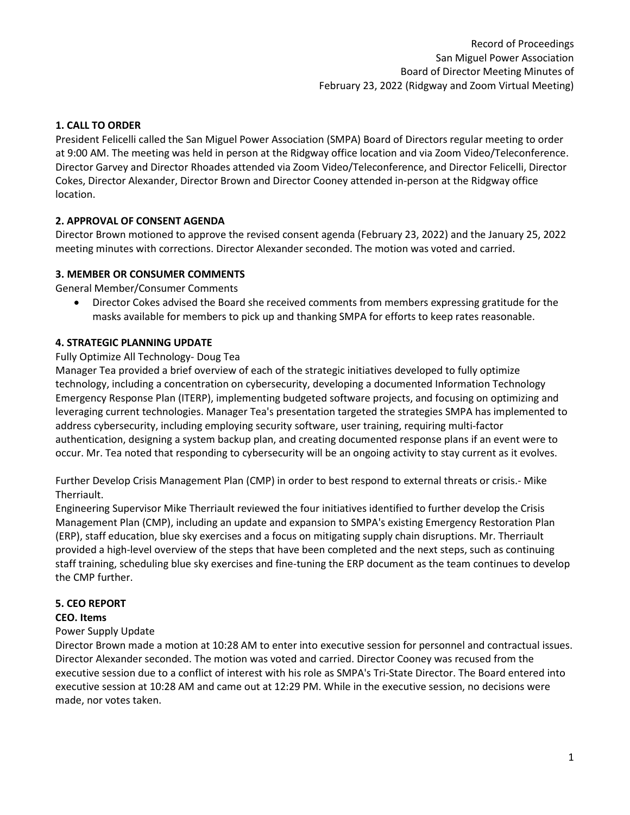## **1. CALL TO ORDER**

President Felicelli called the San Miguel Power Association (SMPA) Board of Directors regular meeting to order at 9:00 AM. The meeting was held in person at the Ridgway office location and via Zoom Video/Teleconference. Director Garvey and Director Rhoades attended via Zoom Video/Teleconference, and Director Felicelli, Director Cokes, Director Alexander, Director Brown and Director Cooney attended in-person at the Ridgway office location.

# **2. APPROVAL OF CONSENT AGENDA**

Director Brown motioned to approve the revised consent agenda (February 23, 2022) and the January 25, 2022 meeting minutes with corrections. Director Alexander seconded. The motion was voted and carried.

### **3. MEMBER OR CONSUMER COMMENTS**

General Member/Consumer Comments

• Director Cokes advised the Board she received comments from members expressing gratitude for the masks available for members to pick up and thanking SMPA for efforts to keep rates reasonable.

### **4. STRATEGIC PLANNING UPDATE**

#### Fully Optimize All Technology- Doug Tea

Manager Tea provided a brief overview of each of the strategic initiatives developed to fully optimize technology, including a concentration on cybersecurity, developing a documented Information Technology Emergency Response Plan (ITERP), implementing budgeted software projects, and focusing on optimizing and leveraging current technologies. Manager Tea's presentation targeted the strategies SMPA has implemented to address cybersecurity, including employing security software, user training, requiring multi-factor authentication, designing a system backup plan, and creating documented response plans if an event were to occur. Mr. Tea noted that responding to cybersecurity will be an ongoing activity to stay current as it evolves.

Further Develop Crisis Management Plan (CMP) in order to best respond to external threats or crisis.- Mike Therriault.

Engineering Supervisor Mike Therriault reviewed the four initiatives identified to further develop the Crisis Management Plan (CMP), including an update and expansion to SMPA's existing Emergency Restoration Plan (ERP), staff education, blue sky exercises and a focus on mitigating supply chain disruptions. Mr. Therriault provided a high-level overview of the steps that have been completed and the next steps, such as continuing staff training, scheduling blue sky exercises and fine-tuning the ERP document as the team continues to develop the CMP further.

### **5. CEO REPORT**

### **CEO. Items**

### Power Supply Update

Director Brown made a motion at 10:28 AM to enter into executive session for personnel and contractual issues. Director Alexander seconded. The motion was voted and carried. Director Cooney was recused from the executive session due to a conflict of interest with his role as SMPA's Tri-State Director. The Board entered into executive session at 10:28 AM and came out at 12:29 PM. While in the executive session, no decisions were made, nor votes taken.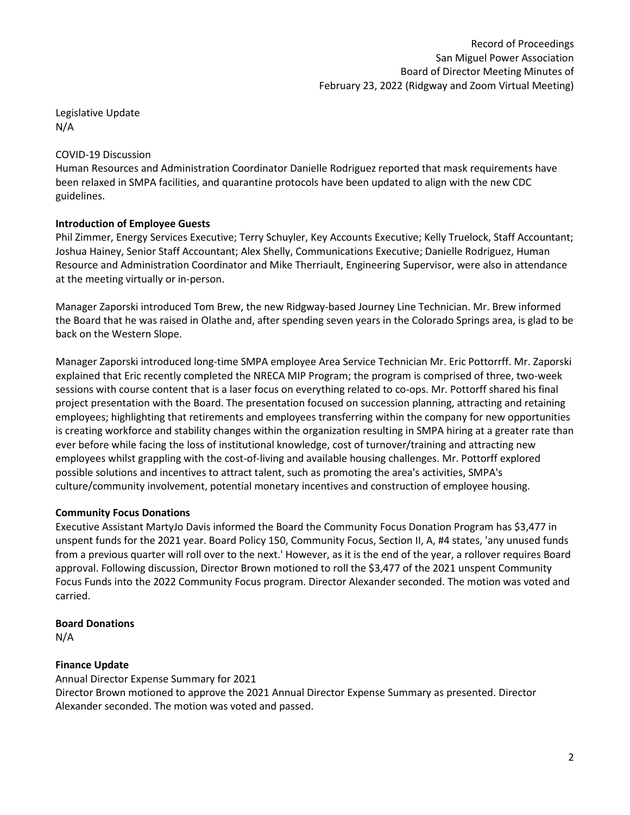Legislative Update N/A

## COVID-19 Discussion

Human Resources and Administration Coordinator Danielle Rodriguez reported that mask requirements have been relaxed in SMPA facilities, and quarantine protocols have been updated to align with the new CDC guidelines.

# **Introduction of Employee Guests**

Phil Zimmer, Energy Services Executive; Terry Schuyler, Key Accounts Executive; Kelly Truelock, Staff Accountant; Joshua Hainey, Senior Staff Accountant; Alex Shelly, Communications Executive; Danielle Rodriguez, Human Resource and Administration Coordinator and Mike Therriault, Engineering Supervisor, were also in attendance at the meeting virtually or in-person.

Manager Zaporski introduced Tom Brew, the new Ridgway-based Journey Line Technician. Mr. Brew informed the Board that he was raised in Olathe and, after spending seven years in the Colorado Springs area, is glad to be back on the Western Slope.

Manager Zaporski introduced long-time SMPA employee Area Service Technician Mr. Eric Pottorrff. Mr. Zaporski explained that Eric recently completed the NRECA MIP Program; the program is comprised of three, two-week sessions with course content that is a laser focus on everything related to co-ops. Mr. Pottorff shared his final project presentation with the Board. The presentation focused on succession planning, attracting and retaining employees; highlighting that retirements and employees transferring within the company for new opportunities is creating workforce and stability changes within the organization resulting in SMPA hiring at a greater rate than ever before while facing the loss of institutional knowledge, cost of turnover/training and attracting new employees whilst grappling with the cost-of-living and available housing challenges. Mr. Pottorff explored possible solutions and incentives to attract talent, such as promoting the area's activities, SMPA's culture/community involvement, potential monetary incentives and construction of employee housing.

# **Community Focus Donations**

Executive Assistant MartyJo Davis informed the Board the Community Focus Donation Program has \$3,477 in unspent funds for the 2021 year. Board Policy 150, Community Focus, Section II, A, #4 states, 'any unused funds from a previous quarter will roll over to the next.' However, as it is the end of the year, a rollover requires Board approval. Following discussion, Director Brown motioned to roll the \$3,477 of the 2021 unspent Community Focus Funds into the 2022 Community Focus program. Director Alexander seconded. The motion was voted and carried.

### **Board Donations**

N/A

# **Finance Update**

Annual Director Expense Summary for 2021

Director Brown motioned to approve the 2021 Annual Director Expense Summary as presented. Director Alexander seconded. The motion was voted and passed.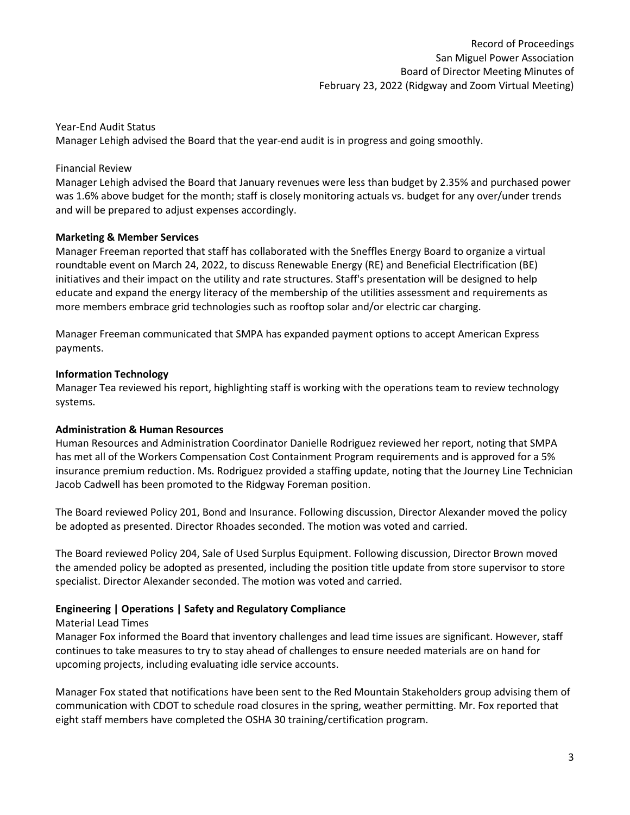### Year-End Audit Status

Manager Lehigh advised the Board that the year-end audit is in progress and going smoothly.

### Financial Review

Manager Lehigh advised the Board that January revenues were less than budget by 2.35% and purchased power was 1.6% above budget for the month; staff is closely monitoring actuals vs. budget for any over/under trends and will be prepared to adjust expenses accordingly.

### **Marketing & Member Services**

Manager Freeman reported that staff has collaborated with the Sneffles Energy Board to organize a virtual roundtable event on March 24, 2022, to discuss Renewable Energy (RE) and Beneficial Electrification (BE) initiatives and their impact on the utility and rate structures. Staff's presentation will be designed to help educate and expand the energy literacy of the membership of the utilities assessment and requirements as more members embrace grid technologies such as rooftop solar and/or electric car charging.

Manager Freeman communicated that SMPA has expanded payment options to accept American Express payments.

### **Information Technology**

Manager Tea reviewed his report, highlighting staff is working with the operations team to review technology systems.

### **Administration & Human Resources**

Human Resources and Administration Coordinator Danielle Rodriguez reviewed her report, noting that SMPA has met all of the Workers Compensation Cost Containment Program requirements and is approved for a 5% insurance premium reduction. Ms. Rodriguez provided a staffing update, noting that the Journey Line Technician Jacob Cadwell has been promoted to the Ridgway Foreman position.

The Board reviewed Policy 201, Bond and Insurance. Following discussion, Director Alexander moved the policy be adopted as presented. Director Rhoades seconded. The motion was voted and carried.

The Board reviewed Policy 204, Sale of Used Surplus Equipment. Following discussion, Director Brown moved the amended policy be adopted as presented, including the position title update from store supervisor to store specialist. Director Alexander seconded. The motion was voted and carried.

# **Engineering | Operations | Safety and Regulatory Compliance**

# Material Lead Times

Manager Fox informed the Board that inventory challenges and lead time issues are significant. However, staff continues to take measures to try to stay ahead of challenges to ensure needed materials are on hand for upcoming projects, including evaluating idle service accounts.

Manager Fox stated that notifications have been sent to the Red Mountain Stakeholders group advising them of communication with CDOT to schedule road closures in the spring, weather permitting. Mr. Fox reported that eight staff members have completed the OSHA 30 training/certification program.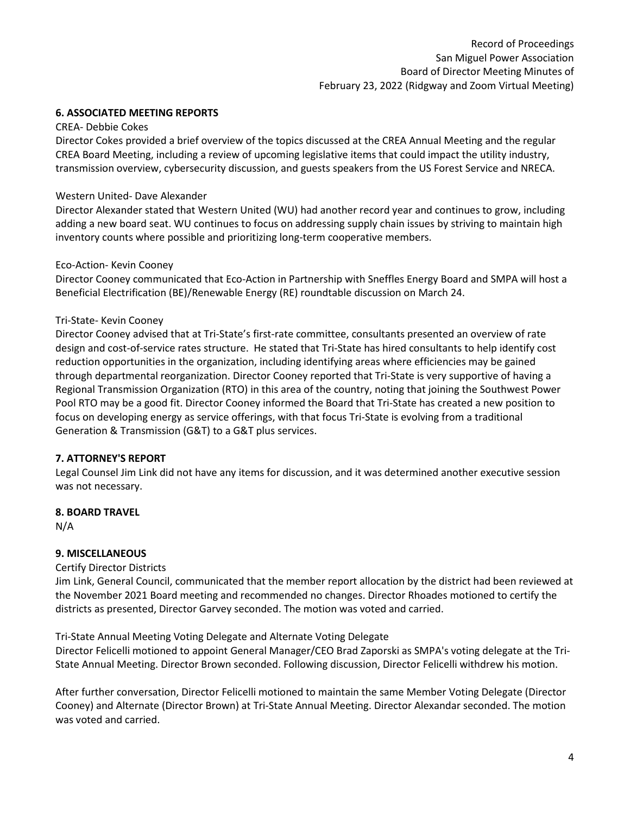# **6. ASSOCIATED MEETING REPORTS**

#### CREA- Debbie Cokes

Director Cokes provided a brief overview of the topics discussed at the CREA Annual Meeting and the regular CREA Board Meeting, including a review of upcoming legislative items that could impact the utility industry, transmission overview, cybersecurity discussion, and guests speakers from the US Forest Service and NRECA.

#### Western United- Dave Alexander

Director Alexander stated that Western United (WU) had another record year and continues to grow, including adding a new board seat. WU continues to focus on addressing supply chain issues by striving to maintain high inventory counts where possible and prioritizing long-term cooperative members.

#### Eco-Action- Kevin Cooney

Director Cooney communicated that Eco-Action in Partnership with Sneffles Energy Board and SMPA will host a Beneficial Electrification (BE)/Renewable Energy (RE) roundtable discussion on March 24.

#### Tri-State- Kevin Cooney

Director Cooney advised that at Tri-State's first-rate committee, consultants presented an overview of rate design and cost-of-service rates structure. He stated that Tri-State has hired consultants to help identify cost reduction opportunities in the organization, including identifying areas where efficiencies may be gained through departmental reorganization. Director Cooney reported that Tri-State is very supportive of having a Regional Transmission Organization (RTO) in this area of the country, noting that joining the Southwest Power Pool RTO may be a good fit. Director Cooney informed the Board that Tri-State has created a new position to focus on developing energy as service offerings, with that focus Tri-State is evolving from a traditional Generation & Transmission (G&T) to a G&T plus services.

### **7. ATTORNEY'S REPORT**

Legal Counsel Jim Link did not have any items for discussion, and it was determined another executive session was not necessary.

#### **8. BOARD TRAVEL**

N/A

### **9. MISCELLANEOUS**

### Certify Director Districts

Jim Link, General Council, communicated that the member report allocation by the district had been reviewed at the November 2021 Board meeting and recommended no changes. Director Rhoades motioned to certify the districts as presented, Director Garvey seconded. The motion was voted and carried.

Tri-State Annual Meeting Voting Delegate and Alternate Voting Delegate

Director Felicelli motioned to appoint General Manager/CEO Brad Zaporski as SMPA's voting delegate at the Tri-State Annual Meeting. Director Brown seconded. Following discussion, Director Felicelli withdrew his motion.

After further conversation, Director Felicelli motioned to maintain the same Member Voting Delegate (Director Cooney) and Alternate (Director Brown) at Tri-State Annual Meeting. Director Alexandar seconded. The motion was voted and carried.